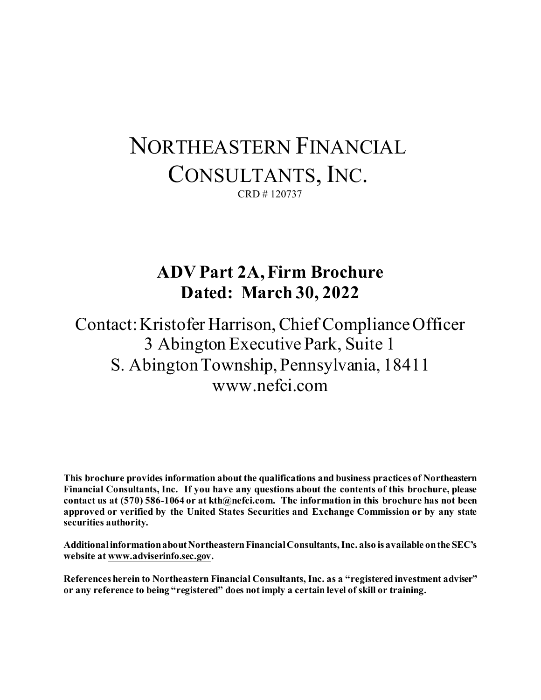# NORTHEASTERN FINANCIAL CONSULTANTS, INC. CRD # 120737

## **ADV Part 2A, Firm Brochure Dated: March 30, 2022**

Contact: Kristofer Harrison, Chief Compliance Officer 3 Abington Executive Park, Suite 1 S. Abington Township, Pennsylvania, 18411 www.nefci.com

**This brochure provides information about the qualifications and business practices of Northeastern Financial Consultants, Inc. If you have any questions about the contents of this brochure, please contact us at (570) 586-1064 or at kth@nefci.com. The information in this brochure has not been approved or verified by the United States Securities and Exchange Commission or by any state securities authority.**

**Additional information about Northeastern Financial Consultants,Inc. also is available on the SEC's website at www.adviserinfo.sec.gov.**

**References herein to Northeastern Financial Consultants, Inc. as a "registered investment adviser" or any reference to being "registered" does not imply a certain level of skill or training.**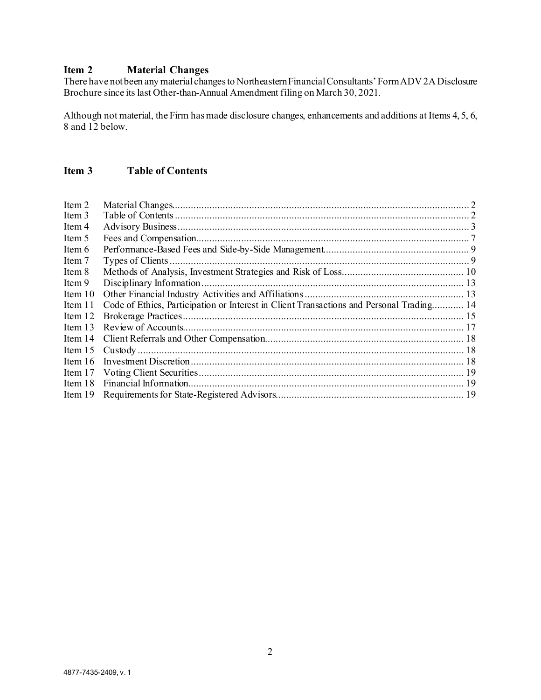## <span id="page-1-0"></span>**Item 2 Material Changes**

There have not been any material changes to Northeastern Financial Consultants'Form ADV 2A Disclosure Brochure since its last Other-than-Annual Amendment filing on March 30, 2021.

Although not material, the Firm has made disclosure changes, enhancements and additions at Items 4, 5, 6, 8 and 12 below.

## <span id="page-1-1"></span>**Item 3 Table of Contents**

| Item 2    |                                                                                          |  |
|-----------|------------------------------------------------------------------------------------------|--|
| Item 3    |                                                                                          |  |
| Item 4    |                                                                                          |  |
| Item 5    |                                                                                          |  |
| Item 6    |                                                                                          |  |
| Item 7    |                                                                                          |  |
| Item 8    |                                                                                          |  |
| Item 9    |                                                                                          |  |
| Item $10$ |                                                                                          |  |
| Item 11   | Code of Ethics, Participation or Interest in Client Transactions and Personal Trading 14 |  |
| Item 12   |                                                                                          |  |
| Item $13$ |                                                                                          |  |
| Item 14   |                                                                                          |  |
| Item $15$ |                                                                                          |  |
| Item $16$ |                                                                                          |  |
| Item $17$ |                                                                                          |  |
| Item $18$ |                                                                                          |  |
| Item $19$ |                                                                                          |  |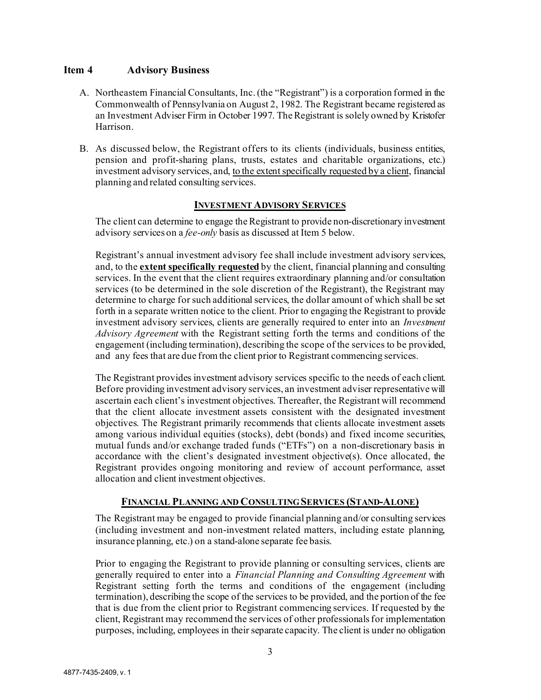#### <span id="page-2-0"></span>**Item 4 Advisory Business**

- A. Northeastern Financial Consultants, Inc. (the "Registrant") is a corporation formed in the Commonwealth of Pennsylvania on August 2, 1982. The Registrant became registered as an Investment Adviser Firm in October 1997. The Registrant is solely owned by Kristofer Harrison.
- B. As discussed below, the Registrant offers to its clients (individuals, business entities, pension and profit-sharing plans, trusts, estates and charitable organizations, etc.) investment advisory services, and, to the extent specifically requested by a client, financial planning and related consulting services.

#### **INVESTMENT ADVISORY SERVICES**

The client can determine to engage the Registrant to provide non-discretionary investment advisory services on a *fee-only* basis as discussed at Item 5 below.

Registrant's annual investment advisory fee shall include investment advisory services, and, to the **extent specifically requested** by the client, financial planning and consulting services. In the event that the client requires extraordinary planning and/or consultation services (to be determined in the sole discretion of the Registrant), the Registrant may determine to charge for such additional services, the dollar amount of which shall be set forth in a separate written notice to the client. Prior to engaging the Registrant to provide investment advisory services, clients are generally required to enter into an *Investment Advisory Agreement* with the Registrant setting forth the terms and conditions of the engagement (including termination), describing the scope of the services to be provided, and any fees that are due from the client prior to Registrant commencing services.

The Registrant provides investment advisory services specific to the needs of each client. Before providing investment advisory services, an investment adviser representative will ascertain each client's investment objectives. Thereafter, the Registrant will recommend that the client allocate investment assets consistent with the designated investment objectives. The Registrant primarily recommends that clients allocate investment assets among various individual equities (stocks), debt (bonds) and fixed income securities, mutual funds and/or exchange traded funds ("ETFs") on a non-discretionary basis in accordance with the client's designated investment objective(s). Once allocated, the Registrant provides ongoing monitoring and review of account performance, asset allocation and client investment objectives.

## **FINANCIAL PLANNING AND CONSULTING SERVICES (STAND-ALONE)**

The Registrant may be engaged to provide financial planning and/or consulting services (including investment and non-investment related matters, including estate planning, insurance planning, etc.) on a stand-alone separate fee basis.

Prior to engaging the Registrant to provide planning or consulting services, clients are generally required to enter into a *Financial Planning and Consulting Agreement* with Registrant setting forth the terms and conditions of the engagement (including termination), describing the scope of the services to be provided, and the portion of the fee that is due from the client prior to Registrant commencing services. If requested by the client, Registrant may recommend the services of other professionals for implementation purposes, including, employees in their separate capacity. The client is under no obligation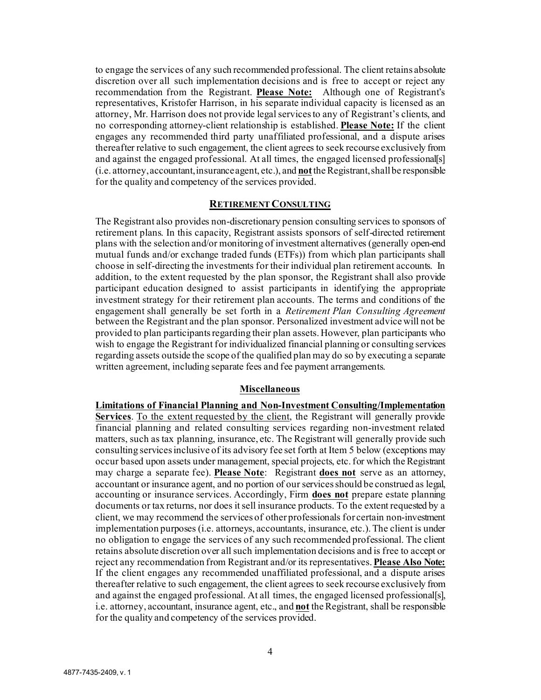to engage the services of any such recommended professional. The client retains absolute discretion over all such implementation decisions and is free to accept or reject any recommendation from the Registrant. **Please Note:** Although one of Registrant's representatives, Kristofer Harrison, in his separate individual capacity is licensed as an attorney, Mr. Harrison does not provide legal services to any of Registrant's clients, and no corresponding attorney-client relationship is established. **Please Note:** If the client engages any recommended third party unaffiliated professional, and a dispute arises thereafter relative to such engagement, the client agrees to seek recourse exclusively from and against the engaged professional. At all times, the engaged licensed professional[s] (i.e. attorney, accountant, insurance agent, etc.), and **not**the Registrant, shall be responsible for the quality and competency of the services provided.

#### **RETIREMENT CONSULTING**

The Registrant also provides non-discretionary pension consulting services to sponsors of retirement plans. In this capacity, Registrant assists sponsors of self-directed retirement plans with the selection and/or monitoring of investment alternatives (generally open-end mutual funds and/or exchange traded funds (ETFs)) from which plan participants shall choose in self-directing the investments for their individual plan retirement accounts. In addition, to the extent requested by the plan sponsor, the Registrant shall also provide participant education designed to assist participants in identifying the appropriate investment strategy for their retirement plan accounts. The terms and conditions of the engagement shall generally be set forth in a *Retirement Plan Consulting Agreement*  between the Registrant and the plan sponsor. Personalized investment advice will not be provided to plan participants regarding their plan assets. However, plan participants who wish to engage the Registrant for individualized financial planning or consulting services regarding assets outside the scope of the qualified plan may do so by executing a separate written agreement, including separate fees and fee payment arrangements.

#### **Miscellaneous**

**Limitations of Financial Planning and Non-Investment Consulting/Implementation Services**. To the extent requested by the client, the Registrant will generally provide financial planning and related consulting services regarding non-investment related matters, such as tax planning, insurance, etc. The Registrant will generally provide such consulting services inclusive of its advisory fee set forth at Item 5 below (exceptions may occur based upon assets under management, special projects, etc. for which the Registrant may charge a separate fee). **Please Note**: Registrant **does not** serve as an attorney, accountant or insurance agent, and no portion of our services should be construed as legal, accounting or insurance services. Accordingly, Firm **does not** prepare estate planning documents or tax returns, nor does it sell insurance products. To the extent requested by a client, we may recommend the services of other professionals for certain non-investment implementation purposes (i.e. attorneys, accountants, insurance, etc.). The client is under no obligation to engage the services of any such recommended professional. The client retains absolute discretion over all such implementation decisions and is free to accept or reject any recommendation from Registrant and/or its representatives.**Please Also Note:** If the client engages any recommended unaffiliated professional, and a dispute arises thereafter relative to such engagement, the client agrees to seek recourse exclusively from and against the engaged professional. At all times, the engaged licensed professional[s], i.e. attorney, accountant, insurance agent, etc., and **not** the Registrant, shall be responsible for the quality and competency of the services provided.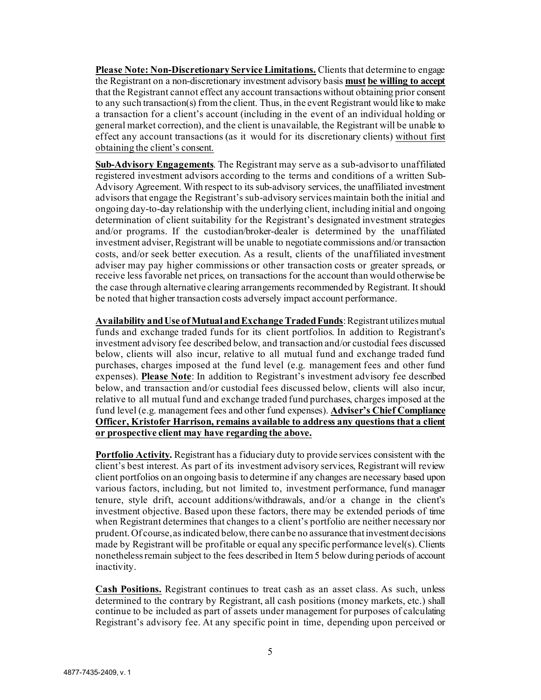**Please Note: Non-Discretionary Service Limitations.** Clients that determine to engage the Registrant on a non-discretionary investment advisory basis **must be willing to accept** that the Registrant cannot effect any account transactions without obtaining prior consent to any such transaction(s) from the client. Thus, in the event Registrant would like to make a transaction for a client's account (including in the event of an individual holding or general market correction), and the client is unavailable, the Registrant will be unable to effect any account transactions (as it would for its discretionary clients) without first obtaining the client's consent.

**Sub-Advisory Engagements**. The Registrant may serve as a sub-advisor to unaffiliated registered investment advisors according to the terms and conditions of a written Sub-Advisory Agreement. With respect to its sub-advisory services, the unaffiliated investment advisors that engage the Registrant's sub-advisory services maintain both the initial and ongoing day-to-day relationship with the underlying client, including initial and ongoing determination of client suitability for the Registrant's designated investment strategies and/or programs. If the custodian/broker-dealer is determined by the unaffiliated investment adviser, Registrant will be unable to negotiate commissions and/or transaction costs, and/or seek better execution. As a result, clients of the unaffiliated investment adviser may pay higher commissions or other transaction costs or greater spreads, or receive less favorable net prices, on transactions for the account than would otherwise be the case through alternative clearing arrangements recommended by Registrant. It should be noted that higher transaction costs adversely impact account performance.

**Availability and Use of Mutual and Exchange Traded Funds**: Registrant utilizes mutual funds and exchange traded funds for its client portfolios. In addition to Registrant's investment advisory fee described below, and transaction and/or custodial fees discussed below, clients will also incur, relative to all mutual fund and exchange traded fund purchases, charges imposed at the fund level (e.g. management fees and other fund expenses). **Please Note**: In addition to Registrant's investment advisory fee described below, and transaction and/or custodial fees discussed below, clients will also incur, relative to all mutual fund and exchange traded fund purchases, charges imposed at the fund level (e.g. management fees and other fund expenses). **Adviser's Chief Compliance Officer, Kristofer Harrison, remains available to address any questions that a client or prospective client may have regarding the above.**

**Portfolio Activity.** Registrant has a fiduciary duty to provide services consistent with the client's best interest. As part of its investment advisory services, Registrant will review client portfolios on an ongoing basis to determine if any changes are necessary based upon various factors, including, but not limited to, investment performance, fund manager tenure, style drift, account additions/withdrawals, and/or a change in the client's investment objective. Based upon these factors, there may be extended periods of time when Registrant determines that changes to a client's portfolio are neither necessary nor prudent. Of course, as indicated below, there can be no assurance that investment decisions made by Registrant will be profitable or equal any specific performance level(s).Clients nonetheless remain subject to the fees described in Item 5 below during periods of account inactivity.

**Cash Positions.** Registrant continues to treat cash as an asset class. As such, unless determined to the contrary by Registrant, all cash positions (money markets, etc.) shall continue to be included as part of assets under management for purposes of calculating Registrant's advisory fee. At any specific point in time, depending upon perceived or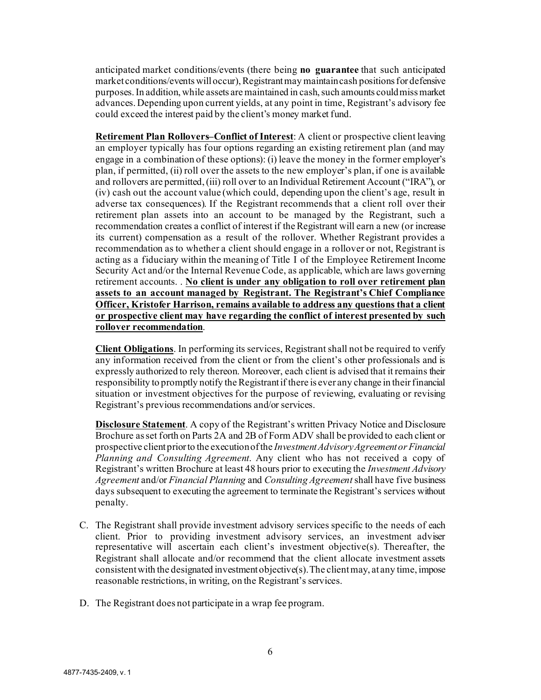anticipated market conditions/events (there being **no guarantee** that such anticipated market conditions/events will occur), Registrant may maintain cash positions for defensive purposes. In addition, while assets are maintained in cash, such amounts could miss market advances. Depending upon current yields, at any point in time, Registrant's advisory fee could exceed the interest paid by the client's money market fund.

**Retirement Plan Rollovers–Conflict of Interest**: A client or prospective client leaving an employer typically has four options regarding an existing retirement plan (and may engage in a combination of these options): (i) leave the money in the former employer's plan, if permitted, (ii) roll over the assets to the new employer's plan, if one is available and rollovers are permitted, (iii) roll over to an Individual Retirement Account ("IRA"), or (iv) cash out the account value (which could, depending upon the client's age, result in adverse tax consequences). If the Registrant recommends that a client roll over their retirement plan assets into an account to be managed by the Registrant, such a recommendation creates a conflict of interest if the Registrant will earn a new (or increase its current) compensation as a result of the rollover. Whether Registrant provides a recommendation as to whether a client should engage in a rollover or not, Registrant is acting as a fiduciary within the meaning of Title I of the Employee Retirement Income Security Act and/or the Internal Revenue Code, as applicable, which are laws governing retirement accounts. . **No client is under any obligation to roll over retirement plan assets to an account managed by Registrant. The Registrant's Chief Compliance Officer, Kristofer Harrison, remains available to address any questions that a client or prospective client may have regarding the conflict of interest presented by such rollover recommendation**.

**Client Obligations**. In performing its services, Registrant shall not be required to verify any information received from the client or from the client's other professionals and is expressly authorized to rely thereon. Moreover, each client is advised that it remains their responsibility to promptly notify the Registrant if there is ever any change in theirfinancial situation or investment objectives for the purpose of reviewing, evaluating or revising Registrant's previous recommendations and/or services.

**Disclosure Statement**. A copy of the Registrant's written Privacy Notice and Disclosure Brochure as set forth on Parts 2A and 2B of Form ADV shall be provided to each client or prospective client prior to the execution of the *Investment Advisory Agreement or Financial Planning and Consulting Agreement*. Any client who has not received a copy of Registrant's written Brochure at least 48 hours prior to executing the *Investment Advisory Agreement* and/or *Financial Planning* and *Consulting Agreement*shall have five business days subsequent to executing the agreement to terminate the Registrant's services without penalty.

- C. The Registrant shall provide investment advisory services specific to the needs of each client. Prior to providing investment advisory services, an investment adviser representative will ascertain each client's investment objective(s). Thereafter, the Registrant shall allocate and/or recommend that the client allocate investment assets consistent with the designated investment objective(s). The client may, at any time, impose reasonable restrictions, in writing, on the Registrant's services.
- D. The Registrant does not participate in a wrap fee program.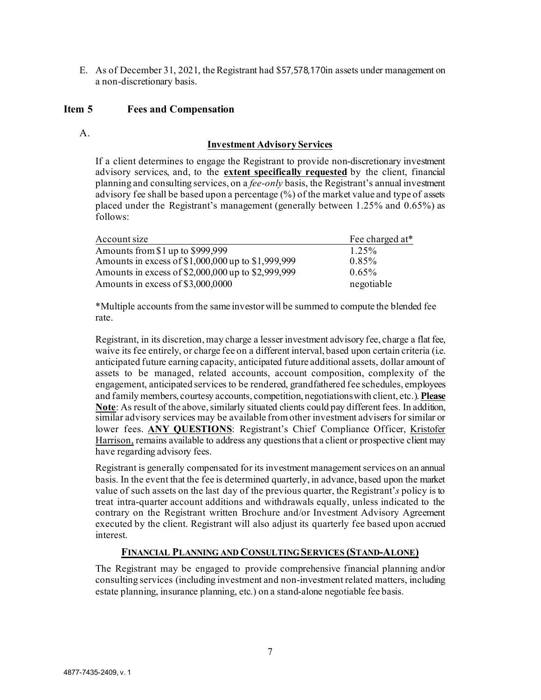E. As of December 31, 2021, the Registrant had \$57,578,170in assets under management on a non-discretionary basis.

### <span id="page-6-0"></span>**Item 5 Fees and Compensation**

 $A<sub>1</sub>$ 

#### **Investment Advisory Services**

If a client determines to engage the Registrant to provide non-discretionary investment advisory services, and, to the **extent specifically requested** by the client, financial planning and consulting services, on a *fee-only* basis, the Registrant's annual investment advisory fee shall be based upon a percentage (%) of the market value and type of assets placed under the Registrant's management (generally between 1.25% and 0.65%) as follows:

| Account size                                       | Fee charged at* |
|----------------------------------------------------|-----------------|
| Amounts from \$1 up to \$999,999                   | 1.25%           |
| Amounts in excess of \$1,000,000 up to \$1,999,999 | 0.85%           |
| Amounts in excess of \$2,000,000 up to \$2,999,999 | $0.65\%$        |
| Amounts in excess of \$3,000,0000                  | negotiable      |

\*Multiple accounts from the same investor will be summed to compute the blended fee rate.

Registrant, in its discretion, may charge a lesser investment advisory fee, charge a flat fee, waive its fee entirely, or charge fee on a different interval, based upon certain criteria (i.e. anticipated future earning capacity, anticipated future additional assets, dollar amount of assets to be managed, related accounts, account composition, complexity of the engagement, anticipated services to be rendered, grandfathered fee schedules, employees and family members, courtesy accounts, competition, negotiations with client, etc.). **Please Note**: As result of the above, similarly situated clients could pay different fees. In addition, similar advisory services may be available from other investment advisers for similar or lower fees. **ANY QUESTIONS**: Registrant's Chief Compliance Officer, Kristofer Harrison, remains available to address any questions that a client or prospective client may have regarding advisory fees.

Registrant is generally compensated for its investment management services on an annual basis. In the event that the fee is determined quarterly, in advance, based upon the market value of such assets on the last day of the previous quarter, the Registrant'*s* policy is to treat intra-quarter account additions and withdrawals equally, unless indicated to the contrary on the Registrant written Brochure and/or Investment Advisory Agreement executed by the client. Registrant will also adjust its quarterly fee based upon accrued interest.

#### **FINANCIAL PLANNING AND CONSULTING SERVICES (STAND-ALONE)**

The Registrant may be engaged to provide comprehensive financial planning and/or consulting services (including investment and non-investment related matters, including estate planning, insurance planning, etc.) on a stand-alone negotiable fee basis.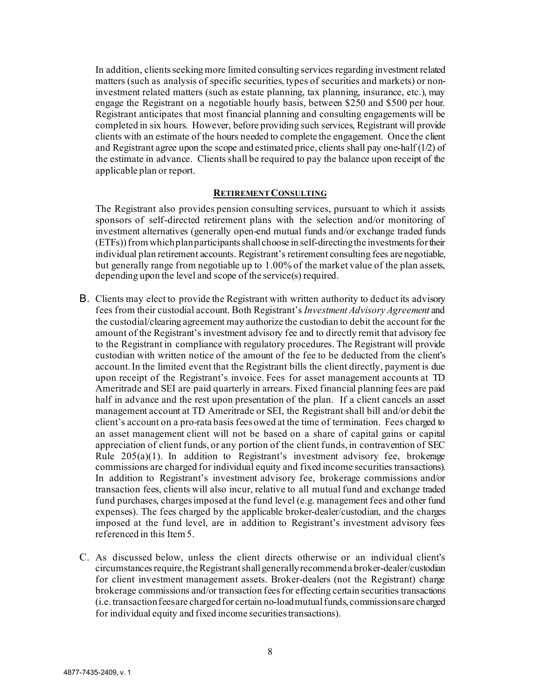In addition, clients seeking more limited consulting services regarding investment related matters (such as analysis of specific securities, types of securities and markets) or noninvestment related matters (such as estate planning, tax planning, insurance, etc.), may engage the Registrant on a negotiable hourly basis, between \$250 and \$500 per hour. Registrant anticipates that most financial planning and consulting engagements will be completed in six hours. However, before providing such services, Registrant will provide clients with an estimate of the hours needed to complete the engagement. Once the client and Registrant agree upon the scope and estimated price, clients shall pay one-half  $(1/2)$  of the estimate in advance. Clients shall be required to pay the balance upon receipt of the applicable plan or report.

#### **RETIREMENT CONSULTING**

The Registrant also provides pension consulting services, pursuant to which it assists sponsors of self-directed retirement plans with the selection and/or monitoring of investment alternatives (generally open-end mutual funds and/or exchange traded funds (ETFs)) from which plan participants shall choose in self-directing the investments for their individual plan retirement accounts. Registrant's retirement consulting fees are negotiable, but generally range from negotiable up to 1.00% of the market value of the plan assets, depending upon the level and scope of the service(s) required.

- B. Clients may elect to provide the Registrant with written authority to deduct its advisory fees from their custodial account. Both Registrant's *Investment Advisory Agreement* and the custodial/clearing agreement may authorize the custodian to debit the account for the amount of the Registrant's investment advisory fee and to directly remit that advisory fee to the Registrant in compliance with regulatory procedures. The Registrant will provide custodian with written notice of the amount of the fee to be deducted from the client's account. In the limited event that the Registrant bills the client directly, payment is due upon receipt of the Registrant's invoice. Fees for asset management accounts at TD Ameritrade and SEI are paid quarterly in arrears. Fixed financial planning fees are paid half in advance and the rest upon presentation of the plan. If a client cancels an asset management account at TD Ameritrade or SEI, the Registrantshall bill and/or debit the client's account on a pro-rata basis fees owed at the time of termination. Fees charged to an asset management client will not be based on a share of capital gains or capital appreciation of client funds, or any portion of the client funds, in contravention of SEC Rule  $205(a)(1)$ . In addition to Registrant's investment advisory fee, brokerage commissions are charged for individual equity and fixed income securities transactions). In addition to Registrant's investment advisory fee, brokerage commissions and/or transaction fees, clients will also incur, relative to all mutual fund and exchange traded fund purchases, charges imposed at the fund level (e.g. management fees and other fund expenses). The fees charged by the applicable broker-dealer/custodian, and the charges imposed at the fund level, are in addition to Registrant's investment advisory fees referenced in this Item 5.
- C. As discussed below, unless the client directs otherwise or an individual client's circumstances require, the Registrant shall generally recommend a broker-dealer/custodian for client investment management assets. Broker-dealers (not the Registrant) charge brokerage commissions and/or transaction fees for effecting certain securities transactions (i.e. transaction fees are charged for certain no-load mutual funds, commissions are charged for individual equity and fixed income securities transactions).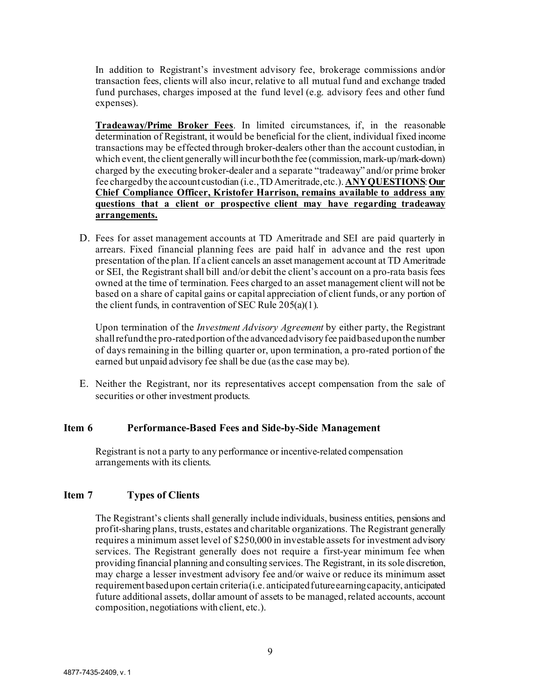In addition to Registrant's investment advisory fee, brokerage commissions and/or transaction fees, clients will also incur, relative to all mutual fund and exchange traded fund purchases, charges imposed at the fund level (e.g. advisory fees and other fund expenses).

**Tradeaway/Prime Broker Fees**. In limited circumstances, if, in the reasonable determination of Registrant, it would be beneficial for the client, individual fixed income transactions may be effected through broker-dealers other than the account custodian, in which event, the client generally will incur both the fee (commission, mark-up/mark-down) charged by the executing broker-dealer and a separate "tradeaway" and/or prime broker fee charged by the account custodian (i.e., TD Ameritrade, etc.). **ANY QUESTIONS**: **Our Chief Compliance Officer, Kristofer Harrison, remains available to address any questions that a client or prospective client may have regarding tradeaway arrangements.**

D. Fees for asset management accounts at TD Ameritrade and SEI are paid quarterly in arrears. Fixed financial planning fees are paid half in advance and the rest upon presentation of the plan. If a client cancels an asset management account at TD Ameritrade or SEI, the Registrant shall bill and/or debit the client's account on a pro-rata basis fees owned at the time of termination. Fees charged to an asset management client will not be based on a share of capital gains or capital appreciation of client funds, or any portion of the client funds, in contravention of SEC Rule 205(a)(1).

Upon termination of the *Investment Advisory Agreement* by either party, the Registrant shall refund the pro-rated portion of the advanced advisory fee paid based upon the number of days remaining in the billing quarter or, upon termination, a pro-rated portion of the earned but unpaid advisory fee shall be due (as the case may be).

E. Neither the Registrant, nor its representatives accept compensation from the sale of securities or other investment products.

#### <span id="page-8-0"></span>**Item 6 Performance-Based Fees and Side-by-Side Management**

Registrant is not a party to any performance or incentive-related compensation arrangements with its clients.

## <span id="page-8-1"></span>**Item 7 Types of Clients**

The Registrant's clients shall generally include individuals, business entities, pensions and profit-sharing plans, trusts, estates and charitable organizations. The Registrant generally requires a minimum asset level of \$250,000 in investable assets for investment advisory services. The Registrant generally does not require a first-year minimum fee when providing financial planning and consulting services. The Registrant, in its sole discretion, may charge a lesser investment advisory fee and/or waive or reduce its minimum asset requirement based upon certain criteria (i.e. anticipated future earning capacity, anticipated future additional assets, dollar amount of assets to be managed, related accounts, account composition, negotiations with client, etc.).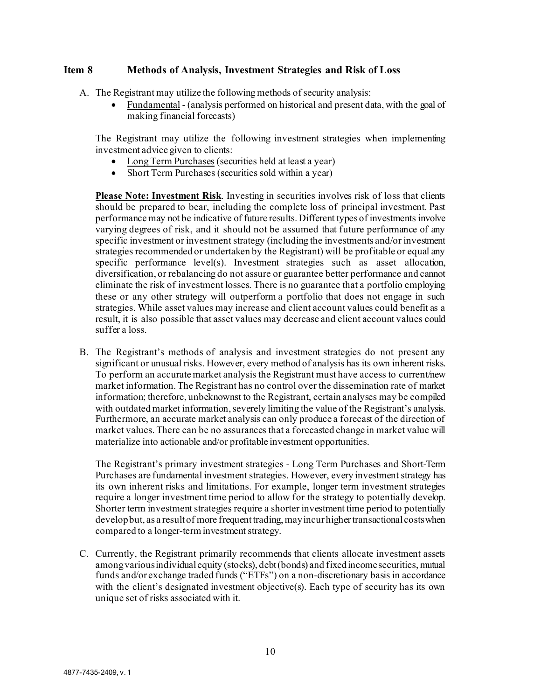## <span id="page-9-0"></span>**Item 8 Methods of Analysis, Investment Strategies and Risk of Loss**

- A. The Registrant may utilize the following methods of security analysis:
	- Fundamental (analysis performed on historical and present data, with the goal of making financial forecasts)

The Registrant may utilize the following investment strategies when implementing investment advice given to clients:

- Long Term Purchases (securities held at least a year)
- Short Term Purchases (securities sold within a year)

**Please Note: Investment Risk**. Investing in securities involves risk of loss that clients should be prepared to bear, including the complete loss of principal investment. Past performance may not be indicative of future results. Different types of investments involve varying degrees of risk, and it should not be assumed that future performance of any specific investment or investment strategy (including the investments and/or investment strategies recommended or undertaken by the Registrant) will be profitable or equal any specific performance level(s). Investment strategies such as asset allocation, diversification, or rebalancing do not assure or guarantee better performance and cannot eliminate the risk of investment losses. There is no guarantee that a portfolio employing these or any other strategy will outperform a portfolio that does not engage in such strategies. While asset values may increase and client account values could benefit as a result, it is also possible that asset values may decrease and client account values could suffer a loss.

B. The Registrant's methods of analysis and investment strategies do not present any significant or unusual risks. However, every method of analysis has its own inherent risks. To perform an accurate market analysis the Registrant must have access to current/new market information. The Registrant has no control over the dissemination rate of market information; therefore, unbeknownst to the Registrant, certain analyses may be compiled with outdated market information, severely limiting the value of the Registrant's analysis. Furthermore, an accurate market analysis can only produce a forecast of the direction of market values. There can be no assurances that a forecasted change in market value will materialize into actionable and/or profitable investment opportunities.

The Registrant's primary investment strategies - Long Term Purchases and Short-Term Purchases are fundamental investment strategies. However, every investment strategy has its own inherent risks and limitations. For example, longer term investment strategies require a longer investment time period to allow for the strategy to potentially develop. Shorter term investment strategies require a shorter investment time period to potentially develop but, as a result of more frequent trading, may incur higher transactional costs when compared to a longer-terminvestment strategy.

C. Currently, the Registrant primarily recommends that clients allocate investment assets among various individual equity (stocks), debt (bonds) and fixed income securities, mutual funds and/or exchange traded funds ("ETFs") on a non-discretionary basis in accordance with the client's designated investment objective(s). Each type of security has its own unique set of risks associated with it.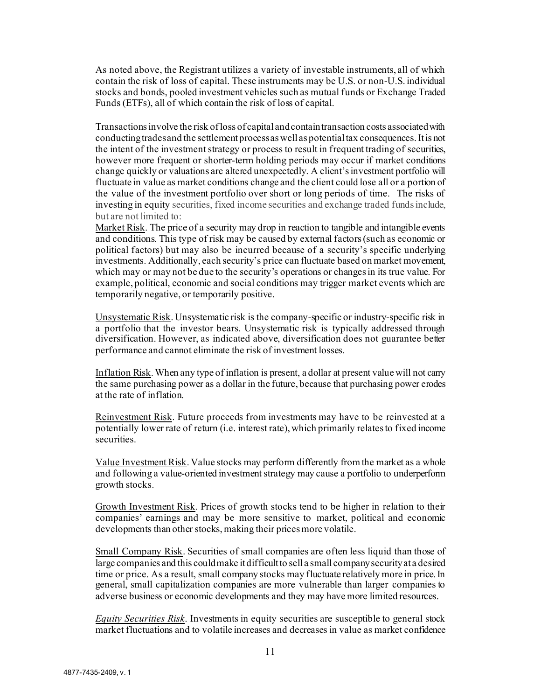As noted above, the Registrant utilizes a variety of investable instruments, all of which contain the risk of loss of capital. These instruments may be U.S. or non-U.S. individual stocks and bonds, pooled investment vehicles such as mutual funds or Exchange Traded Funds (ETFs), all of which contain the risk of loss of capital.

Transactions involve the risk of loss of capital and contain transaction costs associated with conducting trades and the settlement process as well as potential tax consequences. It is not the intent of the investment strategy or process to result in frequent trading of securities, however more frequent or shorter-term holding periods may occur if market conditions change quickly or valuations are altered unexpectedly. A client's investment portfolio will fluctuate in value as market conditions change and the client could lose all or a portion of the value of the investment portfolio over short or long periods of time. The risks of investing in equity securities, fixed income securities and exchange traded funds include, but are not limited to:

Market Risk. The price of a security may drop in reaction to tangible and intangible events and conditions. This type of risk may be caused by external factors (such as economic or political factors) but may also be incurred because of a security's specific underlying investments. Additionally, each security's price can fluctuate based on market movement, which may or may not be due to the security's operations or changes in its true value. For example, political, economic and social conditions may trigger market events which are temporarily negative, or temporarily positive.

Unsystematic Risk. Unsystematic risk is the company-specific or industry-specific risk in a portfolio that the investor bears. Unsystematic risk is typically addressed through diversification. However, as indicated above, diversification does not guarantee better performance and cannot eliminate the risk of investment losses.

Inflation Risk. When any type of inflation is present, a dollar at present value will not carry the same purchasing power as a dollar in the future, because that purchasing power erodes at the rate of inflation.

Reinvestment Risk. Future proceeds from investments may have to be reinvested at a potentially lower rate of return (i.e. interest rate), which primarily relates to fixed income securities.

Value Investment Risk. Value stocks may perform differently from the market as a whole and following a value-oriented investment strategy may cause a portfolio to underperform growth stocks.

Growth Investment Risk. Prices of growth stocks tend to be higher in relation to their companies' earnings and may be more sensitive to market, political and economic developments than other stocks, making their prices more volatile.

Small Company Risk. Securities of small companies are often less liquid than those of large companies and this could make it difficult to sell a small company security at a desired time or price. As a result, small company stocks may fluctuate relatively more in price. In general, small capitalization companies are more vulnerable than larger companies to adverse business or economic developments and they may have more limited resources.

*Equity Securities Risk*. Investments in equity securities are susceptible to general stock market fluctuations and to volatile increases and decreases in value as market confidence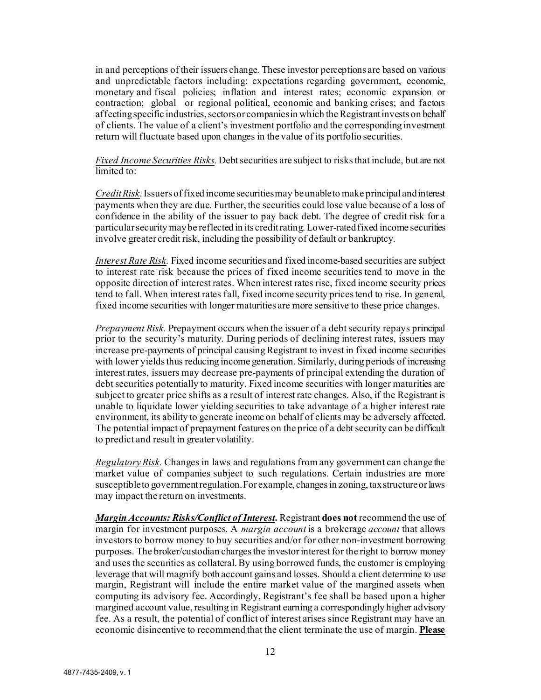in and perceptions of their issuers change. These investor perceptions are based on various and unpredictable factors including: expectations regarding government, economic, monetary and fiscal policies; inflation and interest rates; economic expansion or contraction; global or regional political, economic and banking crises; and factors affecting specific industries, sectors or companies in which the Registrantinvests on behalf of clients. The value of a client's investment portfolio and the corresponding investment return will fluctuate based upon changes in the value of its portfolio securities.

*Fixed Income Securities Risks.* Debt securities are subject to risks that include, but are not limited to:

*Credit Risk*. Issuers of fixed income securities may be unable to make principal and interest payments when they are due. Further, the securities could lose value because of a loss of confidence in the ability of the issuer to pay back debt. The degree of credit risk for a particular security may be reflected in its credit rating. Lower-rated fixed income securities involve greater credit risk, including the possibility of default or bankruptcy.

*Interest Rate Risk.* Fixed income securities and fixed income-based securities are subject to interest rate risk because the prices of fixed income securities tend to move in the opposite direction of interest rates. When interest rates rise, fixed income security prices tend to fall. When interest rates fall, fixed income security prices tend to rise. In general, fixed income securities with longer maturities are more sensitive to these price changes.

*Prepayment Risk.* Prepayment occurs when the issuer of a debt security repays principal prior to the security's maturity. During periods of declining interest rates, issuers may increase pre‐payments of principal causing Registrant to invest in fixed income securities with lower yields thus reducing income generation. Similarly, during periods of increasing interest rates, issuers may decrease pre‐payments of principal extending the duration of debt securities potentially to maturity. Fixed income securities with longer maturities are subject to greater price shifts as a result of interest rate changes. Also, if the Registrant is unable to liquidate lower yielding securities to take advantage of a higher interest rate environment, its ability to generate income on behalf of clients may be adversely affected. The potential impact of prepayment features on the price of a debt security can be difficult to predict and result in greater volatility.

*Regulatory Risk.* Changes in laws and regulations from any government can change the market value of companies subject to such regulations. Certain industries are more susceptible to government regulation. For example, changes in zoning, tax structure or laws may impact the return on investments.

*Margin Accounts: Risks/Conflict of Interest***.** Registrant **does not** recommend the use of margin for investment purposes. A *margin account* is a brokerage *account* that allows investors to borrow money to buy securities and/or for other non-investment borrowing purposes. The broker/custodian charges the investor interest for the right to borrow money and uses the securities as collateral. By using borrowed funds, the customer is employing leverage that will magnify both account gains and losses. Should a client determine to use margin, Registrant will include the entire market value of the margined assets when computing its advisory fee. Accordingly, Registrant's fee shall be based upon a higher margined account value, resulting in Registrant earning a correspondingly higher advisory fee. As a result, the potential of conflict of interest arises since Registrant may have an economic disincentive to recommend that the client terminate the use of margin. **Please**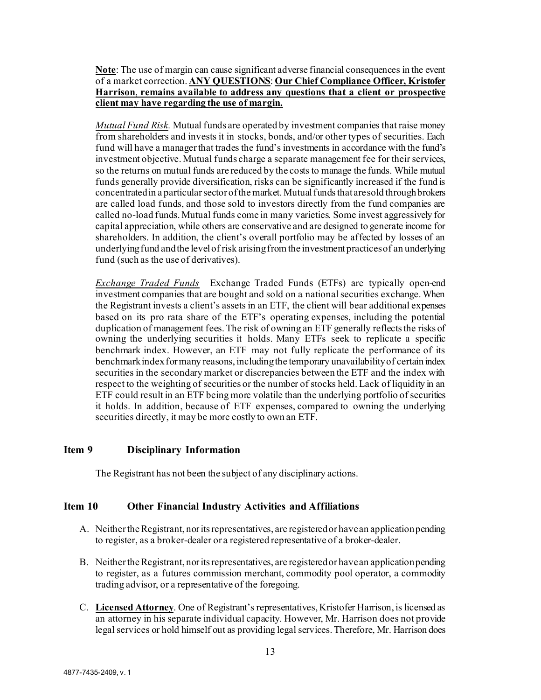**Note**: The use of margin can cause significant adverse financial consequences in the event of a market correction. **ANY QUESTIONS**: **Our Chief Compliance Officer, Kristofer Harrison**, **remains available to address any questions that a client or prospective client may have regarding the use of margin.**

*Mutual Fund Risk.* Mutual funds are operated by investment companies that raise money from shareholders and invests it in stocks, bonds, and/or other types of securities. Each fund will have a manager that trades the fund's investments in accordance with the fund's investment objective. Mutual funds charge a separate management fee for their services, so the returns on mutual funds are reduced by the costs to manage the funds. While mutual funds generally provide diversification, risks can be significantly increased if the fund is concentrated in a particular sector of the market. Mutual funds that are sold through brokers are called load funds, and those sold to investors directly from the fund companies are called no-load funds. Mutual funds come in many varieties. Some invest aggressively for capital appreciation, while others are conservative and are designed to generate income for shareholders. In addition, the client's overall portfolio may be affected by losses of an underlying fund and the level of risk arising from the investment practices of an underlying fund (such as the use of derivatives).

*Exchange Traded Funds* Exchange Traded Funds (ETFs) are typically open‐end investment companies that are bought and sold on a national securities exchange. When the Registrant invests a client's assets in an ETF, the client will bear additional expenses based on its pro rata share of the ETF's operating expenses, including the potential duplication of management fees. The risk of owning an ETF generally reflects the risks of owning the underlying securities it holds. Many ETFs seek to replicate a specific benchmark index. However, an ETF may not fully replicate the performance of its benchmark index for many reasons, including the temporary unavailability of certain index securities in the secondary market or discrepancies between the ETF and the index with respect to the weighting of securities or the number of stocks held. Lack of liquidity in an ETF could result in an ETF being more volatile than the underlying portfolio of securities it holds. In addition, because of ETF expenses, compared to owning the underlying securities directly, it may be more costly to own an ETF.

## <span id="page-12-0"></span>**Item 9 Disciplinary Information**

The Registrant has not been the subject of any disciplinary actions.

## <span id="page-12-1"></span>**Item 10 Other Financial Industry Activities and Affiliations**

- A. Neither the Registrant, nor its representatives, are registered or have an application pending to register, as a broker-dealer or a registered representative of a broker-dealer.
- B. Neither the Registrant, nor its representatives, are registered or have an application pending to register, as a futures commission merchant, commodity pool operator, a commodity trading advisor, or a representative of the foregoing.
- C. **Licensed Attorney**. One of Registrant's representatives, Kristofer Harrison, is licensed as an attorney in his separate individual capacity. However, Mr. Harrison does not provide legal services or hold himself out as providing legal services. Therefore, Mr. Harrison does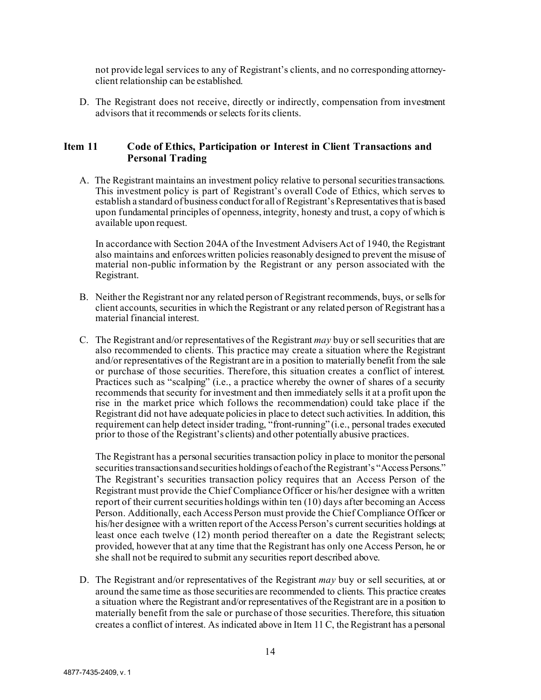not provide legal services to any of Registrant's clients, and no corresponding attorneyclient relationship can be established.

D. The Registrant does not receive, directly or indirectly, compensation from investment advisors that it recommends or selects for its clients.

## <span id="page-13-0"></span>**Item 11 Code of Ethics, Participation or Interest in Client Transactions and Personal Trading**

A. The Registrant maintains an investment policy relative to personal securities transactions. This investment policy is part of Registrant's overall Code of Ethics, which serves to establish a standard of business conduct for all of Registrant's Representatives that is based upon fundamental principles of openness, integrity, honesty and trust, a copy of which is available upon request.

In accordance with Section 204A of the Investment Advisers Act of 1940, the Registrant also maintains and enforces written policies reasonably designed to prevent the misuse of material non-public information by the Registrant or any person associated with the Registrant.

- B. Neither the Registrant nor any related person of Registrant recommends, buys, or sells for client accounts, securities in which the Registrant or any related person of Registrant has a material financial interest.
- C. The Registrant and/or representatives of the Registrant *may* buy or sell securities that are also recommended to clients. This practice may create a situation where the Registrant and/or representatives of the Registrant are in a position to materially benefit from the sale or purchase of those securities. Therefore, this situation creates a conflict of interest. Practices such as "scalping" (i.e., a practice whereby the owner of shares of a security recommends that security for investment and then immediately sells it at a profit upon the rise in the market price which follows the recommendation) could take place if the Registrant did not have adequate policies in place to detect such activities. In addition, this requirement can help detect insider trading, "front-running" (i.e., personal trades executed prior to those of the Registrant's clients) and other potentially abusive practices.

The Registrant has a personal securities transaction policy in place to monitor the personal securities transactions and securities holdings of each of the Registrant's "Access Persons." The Registrant's securities transaction policy requires that an Access Person of the Registrant must provide the Chief Compliance Officer or his/her designee with a written report of their current securities holdings within ten (10) days after becoming an Access Person. Additionally, each Access Person must provide the Chief Compliance Officer or his/her designee with a written report of the Access Person's current securities holdings at least once each twelve (12) month period thereafter on a date the Registrant selects; provided, however that at any time that the Registrant has only one Access Person, he or she shall not be required to submit any securities report described above.

D. The Registrant and/or representatives of the Registrant *may* buy or sell securities, at or around the same time as those securities are recommended to clients. This practice creates a situation where the Registrant and/or representatives of the Registrant are in a position to materially benefit from the sale or purchase of those securities. Therefore, this situation creates a conflict of interest. As indicated above in Item 11 C, the Registrant has a personal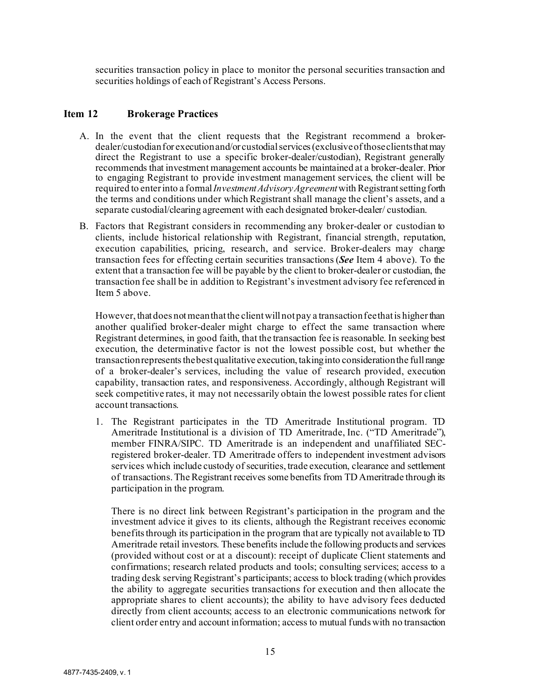securities transaction policy in place to monitor the personal securities transaction and securities holdings of each of Registrant's Access Persons.

#### <span id="page-14-0"></span>**Item 12 Brokerage Practices**

- A. In the event that the client requests that the Registrant recommend a brokerdealer/custodian for execution and/or custodial services (exclusive of those clients that may direct the Registrant to use a specific broker-dealer/custodian), Registrant generally recommends that investment management accounts be maintained at a broker-dealer. Prior to engaging Registrant to provide investment management services, the client will be required to enter into a formal *Investment Advisory Agreement*with Registrant setting forth the terms and conditions under which Registrant shall manage the client's assets, and a separate custodial/clearing agreement with each designated broker-dealer/ custodian.
- B. Factors that Registrant considers in recommending any broker-dealer or custodian to clients, include historical relationship with Registrant, financial strength, reputation, execution capabilities, pricing, research, and service. Broker-dealers may charge transaction fees for effecting certain securities transactions (*See* Item 4 above). To the extent that a transaction fee will be payable by the client to broker-dealer or custodian, the transaction fee shall be in addition to Registrant's investment advisory fee referenced in Item 5 above.

However, that does not mean that the client will not pay a transaction fee that is higher than another qualified broker-dealer might charge to effect the same transaction where Registrant determines, in good faith, that the transaction fee is reasonable. In seeking best execution, the determinative factor is not the lowest possible cost, but whether the transaction represents the best qualitative execution, taking into consideration the full range of a broker-dealer's services, including the value of research provided, execution capability, transaction rates, and responsiveness. Accordingly, although Registrant will seek competitive rates, it may not necessarily obtain the lowest possible rates for client account transactions.

1. The Registrant participates in the TD Ameritrade Institutional program. TD Ameritrade Institutional is a division of TD Ameritrade, Inc. ("TD Ameritrade"), member FINRA/SIPC. TD Ameritrade is an independent and unaffiliated SECregistered broker-dealer. TD Ameritrade offers to independent investment advisors services which include custody of securities, trade execution, clearance and settlement of transactions. The Registrant receives some benefits from TD Ameritrade through its participation in the program.

There is no direct link between Registrant's participation in the program and the investment advice it gives to its clients, although the Registrant receives economic benefits through its participation in the program that are typically not available to TD Ameritrade retail investors. These benefits include the following products and services (provided without cost or at a discount): receipt of duplicate Client statements and confirmations; research related products and tools; consulting services; access to a trading desk serving Registrant's participants; access to block trading (which provides the ability to aggregate securities transactions for execution and then allocate the appropriate shares to client accounts); the ability to have advisory fees deducted directly from client accounts; access to an electronic communications network for client order entry and account information; access to mutual funds with no transaction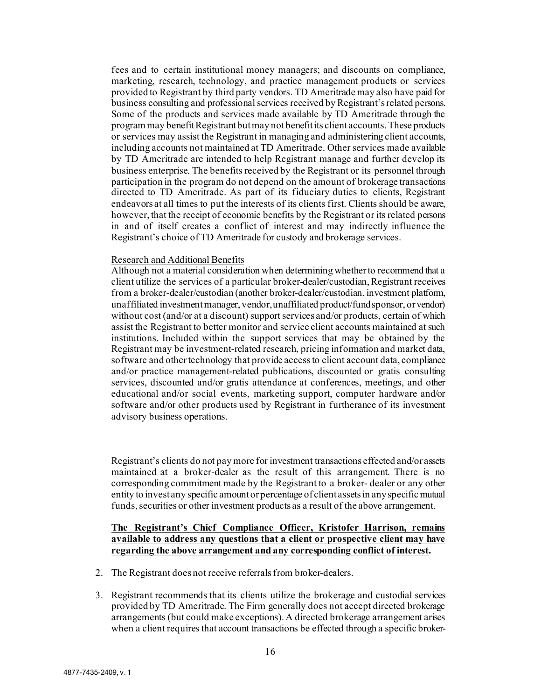fees and to certain institutional money managers; and discounts on compliance, marketing, research, technology, and practice management products or services provided to Registrant by third party vendors. TD Ameritrade may also have paid for business consulting and professional services received by Registrant's related persons. Some of the products and services made available by TD Ameritrade through the program may benefit Registrant but may not benefit its client accounts. These products or services may assist the Registrant in managing and administering client accounts, including accounts not maintained at TD Ameritrade. Other services made available by TD Ameritrade are intended to help Registrant manage and further develop its business enterprise. The benefits received by the Registrant or its personnel through participation in the program do not depend on the amount of brokerage transactions directed to TD Ameritrade. As part of its fiduciary duties to clients, Registrant endeavors at all times to put the interests of its clients first. Clients should be aware, however, that the receipt of economic benefits by the Registrant or its related persons in and of itself creates a conflict of interest and may indirectly influence the Registrant's choice of TD Ameritrade for custody and brokerage services.

#### Research and Additional Benefits

Although not a material consideration when determining whether to recommend that a client utilize the services of a particular broker-dealer/custodian, Registrant receives from a broker-dealer/custodian (another broker-dealer/custodian, investment platform, unaffiliated investment manager, vendor, unaffiliated product/fund sponsor, or vendor) without cost (and/or at a discount) support services and/or products, certain of which assist the Registrant to better monitor and service client accounts maintained at such institutions. Included within the support services that may be obtained by the Registrant may be investment-related research, pricing information and market data, software and other technology that provide access to client account data, compliance and/or practice management-related publications, discounted or gratis consulting services, discounted and/or gratis attendance at conferences, meetings, and other educational and/or social events, marketing support, computer hardware and/or software and/or other products used by Registrant in furtherance of its investment advisory business operations.

Registrant's clients do not pay more for investment transactions effected and/or assets maintained at a broker-dealer as the result of this arrangement. There is no corresponding commitment made by the Registrant to a broker- dealer or any other entity to invest any specific amount or percentage of client assets in any specific mutual funds, securities or other investment products as a result of the above arrangement.

#### **The Registrant's Chief Compliance Officer, Kristofer Harrison, remains available to address any questions that a client or prospective client may have regarding the above arrangement and any corresponding conflict of interest.**

- 2. The Registrant does not receive referrals from broker-dealers.
- 3. Registrant recommends that its clients utilize the brokerage and custodial services provided by TD Ameritrade. The Firm generally does not accept directed brokerage arrangements (but could make exceptions). A directed brokerage arrangement arises when a client requires that account transactions be effected through a specific broker-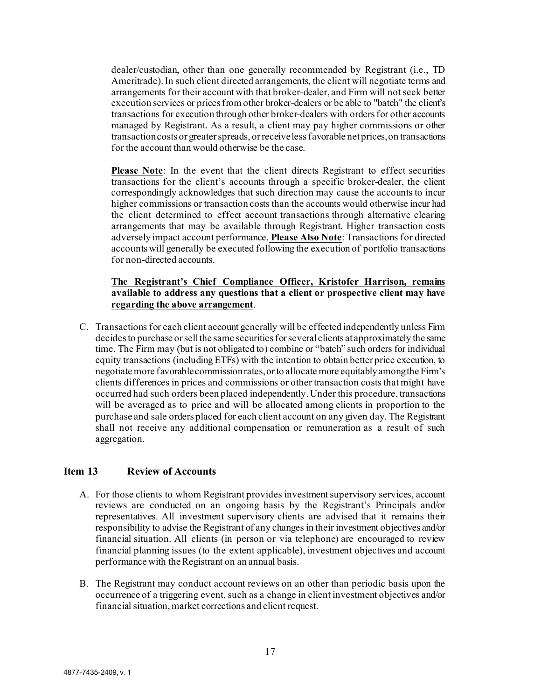dealer/custodian, other than one generally recommended by Registrant (i.e., TD Ameritrade). In such client directed arrangements, the client will negotiate terms and arrangements for their account with that broker-dealer, and Firm will not seek better execution services or prices from other broker-dealers or be able to "batch" the client's transactions for execution through other broker-dealers with orders for other accounts managed by Registrant. As a result, a client may pay higher commissions or other transaction costs or greater spreads, or receive less favorable net prices, on transactions for the account than would otherwise be the case.

**Please Note**: In the event that the client directs Registrant to effect securities transactions for the client's accounts through a specific broker-dealer, the client correspondingly acknowledges that such direction may cause the accounts to incur higher commissions or transaction costs than the accounts would otherwise incur had the client determined to effect account transactions through alternative clearing arrangements that may be available through Registrant. Higher transaction costs adversely impact account performance. **Please Also Note**: Transactions for directed accounts will generally be executed following the execution of portfolio transactions for non-directed accounts.

## **The Registrant's Chief Compliance Officer, Kristofer Harrison, remains available to address any questions that a client or prospective client may have regarding the above arrangement**.

C. Transactions for each client account generally will be effected independently unless Firm decides to purchase or sell the same securities for several clients at approximately the same time. The Firm may (but is not obligated to) combine or "batch" such orders for individual equity transactions (including ETFs) with the intention to obtain better price execution, to negotiate more favorable commission rates, or to allocate more equitably among the Firm's clients differences in prices and commissions or other transaction costs that might have occurred had such orders been placed independently. Under this procedure, transactions will be averaged as to price and will be allocated among clients in proportion to the purchase and sale orders placed for each client account on any given day. The Registrant shall not receive any additional compensation or remuneration as a result of such aggregation.

## <span id="page-16-0"></span>**Item 13 Review of Accounts**

- A. For those clients to whom Registrant provides investment supervisory services, account reviews are conducted on an ongoing basis by the Registrant's Principals and/or representatives. All investment supervisory clients are advised that it remains their responsibility to advise the Registrant of any changes in their investment objectives and/or financial situation. All clients (in person or via telephone) are encouraged to review financial planning issues (to the extent applicable), investment objectives and account performance with the Registrant on an annual basis.
- B. The Registrant may conduct account reviews on an other than periodic basis upon the occurrence of a triggering event, such as a change in client investment objectives and/or financial situation, market corrections and client request.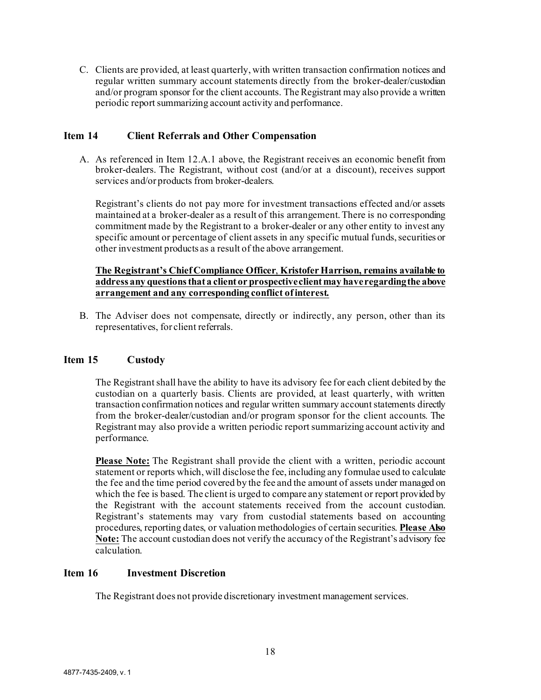C. Clients are provided, at least quarterly, with written transaction confirmation notices and regular written summary account statements directly from the broker-dealer/custodian and/or program sponsor for the client accounts. The Registrant may also provide a written periodic report summarizing account activity and performance.

## <span id="page-17-0"></span>**Item 14 Client Referrals and Other Compensation**

A. As referenced in Item 12.A.1 above, the Registrant receives an economic benefit from broker-dealers. The Registrant, without cost (and/or at a discount), receives support services and/or products from broker-dealers.

Registrant's clients do not pay more for investment transactions effected and/or assets maintained at a broker-dealer as a result of this arrangement. There is no corresponding commitment made by the Registrant to a broker-dealer or any other entity to invest any specific amount or percentage of client assets in any specific mutual funds, securities or other investment products as a result of the above arrangement.

#### **The Registrant's Chief Compliance Officer**, **Kristofer Harrison, remains available to address any questions that a client or prospective client may have regarding the above arrangement and any corresponding conflict of interest.**

B. The Adviser does not compensate, directly or indirectly, any person, other than its representatives, for client referrals.

#### <span id="page-17-1"></span>**Item 15 Custody**

The Registrant shall have the ability to have its advisory fee for each client debited by the custodian on a quarterly basis. Clients are provided, at least quarterly, with written transaction confirmation notices and regular written summary account statements directly from the broker-dealer/custodian and/or program sponsor for the client accounts. The Registrant may also provide a written periodic report summarizing account activity and performance.

**Please Note:** The Registrant shall provide the client with a written, periodic account statement or reports which, will disclose the fee, including any formulae used to calculate the fee and the time period covered by the fee and the amount of assets under managed on which the fee is based. The client is urged to compare any statement or report provided by the Registrant with the account statements received from the account custodian. Registrant's statements may vary from custodial statements based on accounting procedures, reporting dates, or valuation methodologies of certain securities. **Please Also Note:** The account custodian does not verify the accuracy of the Registrant's advisory fee calculation.

#### <span id="page-17-2"></span>**Item 16 Investment Discretion**

The Registrant does not provide discretionary investment management services.